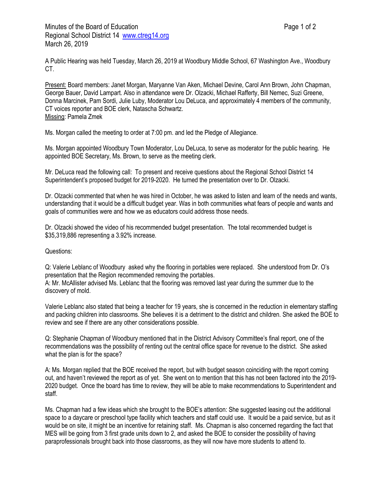A Public Hearing was held Tuesday, March 26, 2019 at Woodbury Middle School, 67 Washington Ave., Woodbury CT.

Present: Board members: Janet Morgan, Maryanne Van Aken, Michael Devine, Carol Ann Brown, John Chapman, George Bauer, David Lampart. Also in attendance were Dr. Olzacki, Michael Rafferty, Bill Nemec, Suzi Greene, Donna Marcinek, Pam Sordi, Julie Luby, Moderator Lou DeLuca, and approximately 4 members of the community, CT voices reporter and BOE clerk, Natascha Schwartz. Missing: Pamela Zmek

Ms. Morgan called the meeting to order at 7:00 pm. and led the Pledge of Allegiance.

Ms. Morgan appointed Woodbury Town Moderator, Lou DeLuca, to serve as moderator for the public hearing. He appointed BOE Secretary, Ms. Brown, to serve as the meeting clerk.

Mr. DeLuca read the following call: To present and receive questions about the Regional School District 14 Superintendent's proposed budget for 2019-2020. He turned the presentation over to Dr. Olzacki.

Dr. Olzacki commented that when he was hired in October, he was asked to listen and learn of the needs and wants, understanding that it would be a difficult budget year. Was in both communities what fears of people and wants and goals of communities were and how we as educators could address those needs.

Dr. Olzacki showed the video of his recommended budget presentation. The total recommended budget is \$35,319,886 representing a 3.92% increase.

Questions:

Q: Valerie Leblanc of Woodbury asked why the flooring in portables were replaced. She understood from Dr. O's presentation that the Region recommended removing the portables.

A: Mr. McAllister advised Ms. Leblanc that the flooring was removed last year during the summer due to the discovery of mold.

Valerie Leblanc also stated that being a teacher for 19 years, she is concerned in the reduction in elementary staffing and packing children into classrooms. She believes it is a detriment to the district and children. She asked the BOE to review and see if there are any other considerations possible.

Q: Stephanie Chapman of Woodbury mentioned that in the District Advisory Committee's final report, one of the recommendations was the possibility of renting out the central office space for revenue to the district. She asked what the plan is for the space?

A: Ms. Morgan replied that the BOE received the report, but with budget season coinciding with the report coming out, and haven't reviewed the report as of yet. She went on to mention that this has not been factored into the 2019- 2020 budget. Once the board has time to review, they will be able to make recommendations to Superintendent and staff.

Ms. Chapman had a few ideas which she brought to the BOE's attention: She suggested leasing out the additional space to a daycare or preschool type facility which teachers and staff could use. It would be a paid service, but as it would be on site, it might be an incentive for retaining staff. Ms. Chapman is also concerned regarding the fact that MES will be going from 3 first grade units down to 2, and asked the BOE to consider the possibility of having paraprofessionals brought back into those classrooms, as they will now have more students to attend to.